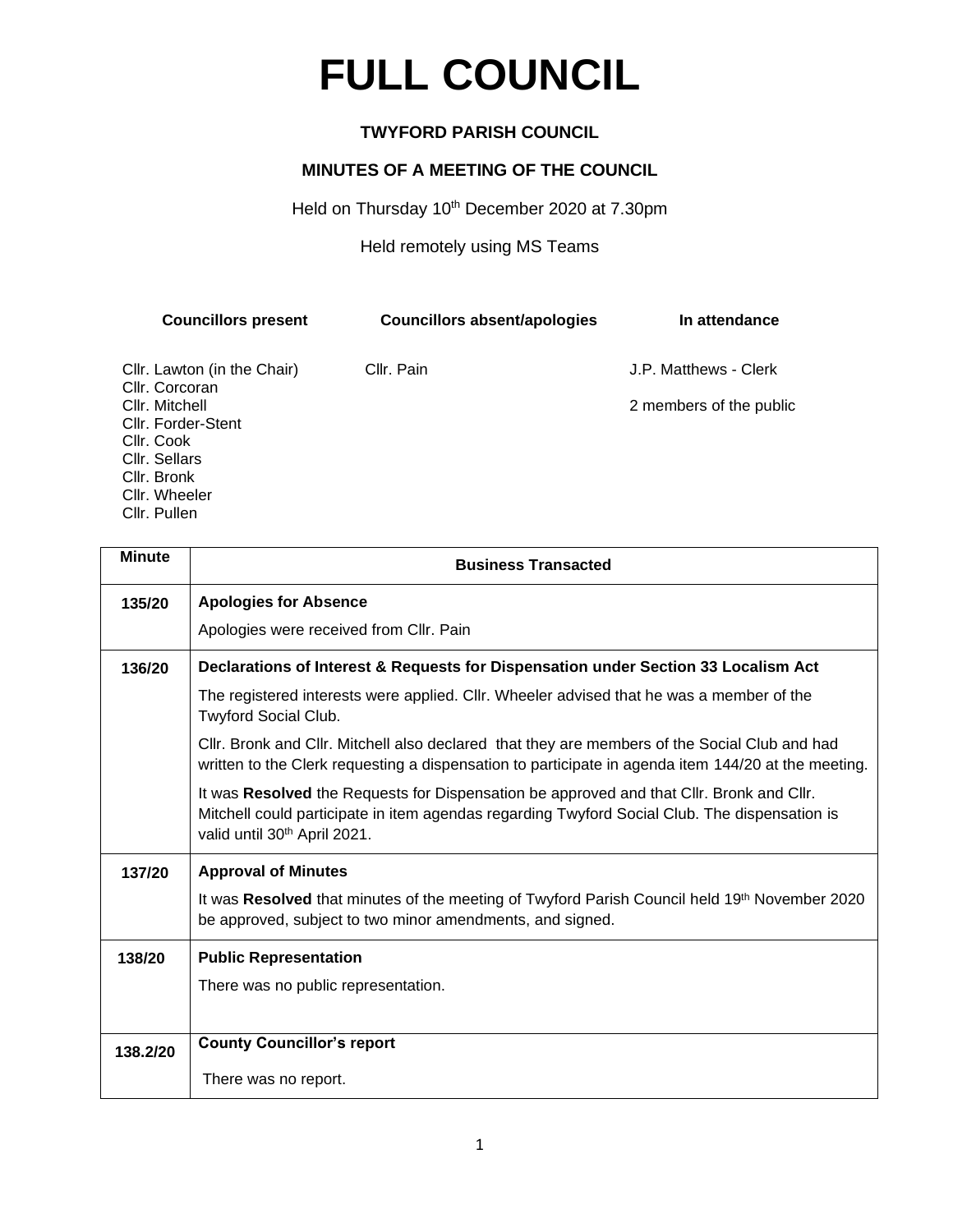## **FULL COUNCIL**

## **TWYFORD PARISH COUNCIL**

## **MINUTES OF A MEETING OF THE COUNCIL**

Held on Thursday 10<sup>th</sup> December 2020 at 7.30pm

Held remotely using MS Teams

| <b>Councillors present</b>  | <b>Councillors absent/apologies</b> | In attendance           |
|-----------------------------|-------------------------------------|-------------------------|
| Cllr. Lawton (in the Chair) | Cllr. Pain                          | J.P. Matthews - Clerk   |
| Cllr. Corcoran              |                                     |                         |
| Cllr. Mitchell              |                                     | 2 members of the public |
| Cllr. Forder-Stent          |                                     |                         |
| Cllr. Cook                  |                                     |                         |
| Cllr. Sellars               |                                     |                         |
| Cllr. Bronk                 |                                     |                         |
| Cllr. Wheeler               |                                     |                         |
| Cllr. Pullen                |                                     |                         |

| <b>Minute</b> | <b>Business Transacted</b>                                                                                                                                                                                                            |  |
|---------------|---------------------------------------------------------------------------------------------------------------------------------------------------------------------------------------------------------------------------------------|--|
| 135/20        | <b>Apologies for Absence</b>                                                                                                                                                                                                          |  |
|               | Apologies were received from Cllr. Pain                                                                                                                                                                                               |  |
| 136/20        | Declarations of Interest & Requests for Dispensation under Section 33 Localism Act                                                                                                                                                    |  |
|               | The registered interests were applied. Cllr. Wheeler advised that he was a member of the<br>Twyford Social Club.                                                                                                                      |  |
|               | CIIr. Bronk and CIIr. Mitchell also declared that they are members of the Social Club and had<br>written to the Clerk requesting a dispensation to participate in agenda item 144/20 at the meeting.                                  |  |
|               | It was Resolved the Requests for Dispensation be approved and that Cllr. Bronk and Cllr.<br>Mitchell could participate in item agendas regarding Twyford Social Club. The dispensation is<br>valid until 30 <sup>th</sup> April 2021. |  |
| 137/20        | <b>Approval of Minutes</b>                                                                                                                                                                                                            |  |
|               | It was Resolved that minutes of the meeting of Twyford Parish Council held 19th November 2020<br>be approved, subject to two minor amendments, and signed.                                                                            |  |
| 138/20        | <b>Public Representation</b>                                                                                                                                                                                                          |  |
|               | There was no public representation.                                                                                                                                                                                                   |  |
|               |                                                                                                                                                                                                                                       |  |
| 138.2/20      | <b>County Councillor's report</b>                                                                                                                                                                                                     |  |
|               | There was no report.                                                                                                                                                                                                                  |  |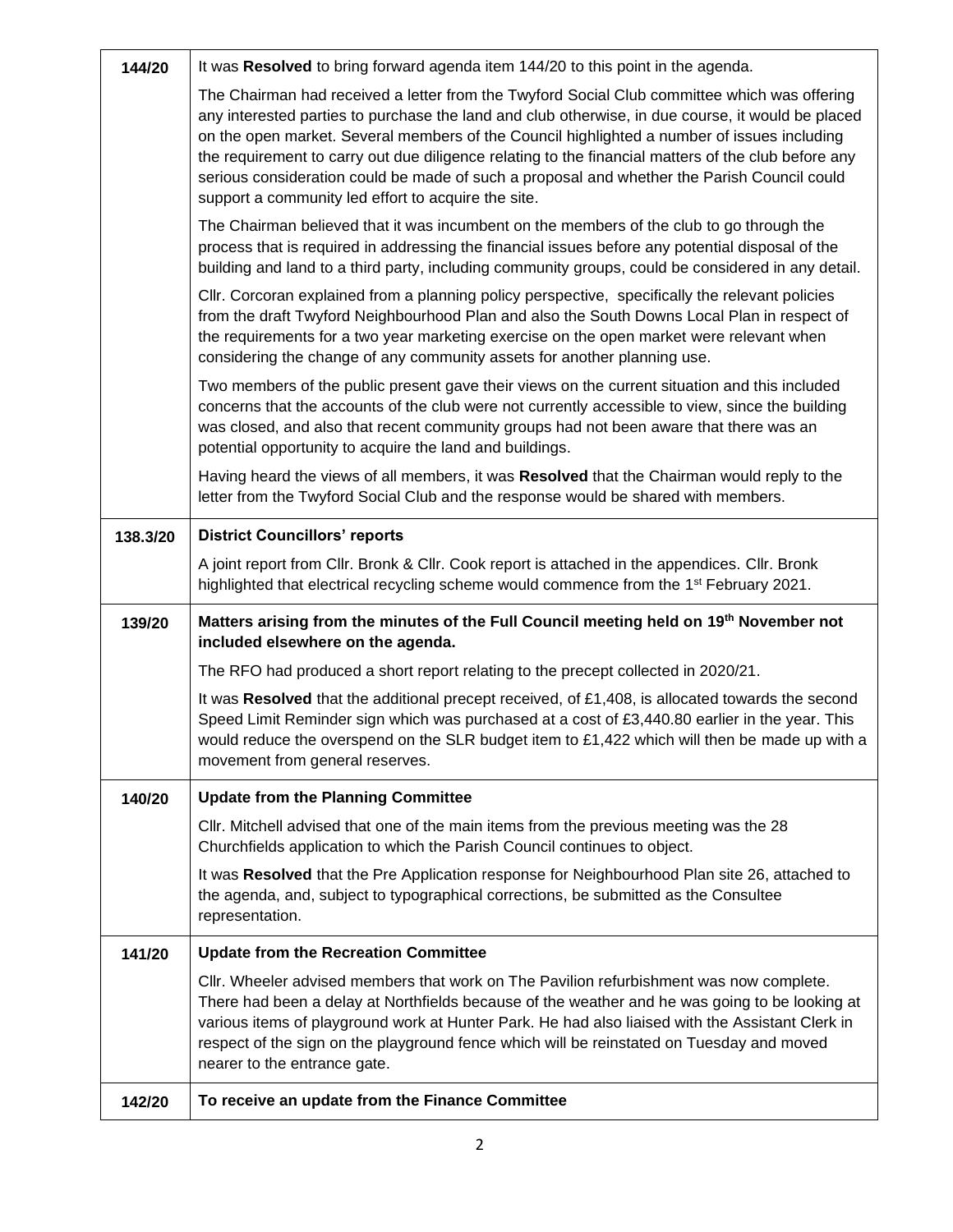| 144/20   | It was Resolved to bring forward agenda item 144/20 to this point in the agenda.                                                                                                                                                                                                                                                                                                                                                                                                                                                                              |  |
|----------|---------------------------------------------------------------------------------------------------------------------------------------------------------------------------------------------------------------------------------------------------------------------------------------------------------------------------------------------------------------------------------------------------------------------------------------------------------------------------------------------------------------------------------------------------------------|--|
|          | The Chairman had received a letter from the Twyford Social Club committee which was offering<br>any interested parties to purchase the land and club otherwise, in due course, it would be placed<br>on the open market. Several members of the Council highlighted a number of issues including<br>the requirement to carry out due diligence relating to the financial matters of the club before any<br>serious consideration could be made of such a proposal and whether the Parish Council could<br>support a community led effort to acquire the site. |  |
|          | The Chairman believed that it was incumbent on the members of the club to go through the<br>process that is required in addressing the financial issues before any potential disposal of the<br>building and land to a third party, including community groups, could be considered in any detail.                                                                                                                                                                                                                                                            |  |
|          | CIIr. Corcoran explained from a planning policy perspective, specifically the relevant policies<br>from the draft Twyford Neighbourhood Plan and also the South Downs Local Plan in respect of<br>the requirements for a two year marketing exercise on the open market were relevant when<br>considering the change of any community assets for another planning use.                                                                                                                                                                                        |  |
|          | Two members of the public present gave their views on the current situation and this included<br>concerns that the accounts of the club were not currently accessible to view, since the building<br>was closed, and also that recent community groups had not been aware that there was an<br>potential opportunity to acquire the land and buildings.                                                                                                                                                                                                       |  |
|          | Having heard the views of all members, it was Resolved that the Chairman would reply to the<br>letter from the Twyford Social Club and the response would be shared with members.                                                                                                                                                                                                                                                                                                                                                                             |  |
| 138.3/20 | <b>District Councillors' reports</b>                                                                                                                                                                                                                                                                                                                                                                                                                                                                                                                          |  |
|          | A joint report from Cllr. Bronk & Cllr. Cook report is attached in the appendices. Cllr. Bronk<br>highlighted that electrical recycling scheme would commence from the 1 <sup>st</sup> February 2021.                                                                                                                                                                                                                                                                                                                                                         |  |
|          | Matters arising from the minutes of the Full Council meeting held on 19 <sup>th</sup> November not<br>included elsewhere on the agenda.                                                                                                                                                                                                                                                                                                                                                                                                                       |  |
| 139/20   |                                                                                                                                                                                                                                                                                                                                                                                                                                                                                                                                                               |  |
|          | The RFO had produced a short report relating to the precept collected in 2020/21.                                                                                                                                                                                                                                                                                                                                                                                                                                                                             |  |
|          | It was Resolved that the additional precept received, of £1,408, is allocated towards the second<br>Speed Limit Reminder sign which was purchased at a cost of £3,440.80 earlier in the year. This<br>would reduce the overspend on the SLR budget item to £1,422 which will then be made up with a<br>movement from general reserves.                                                                                                                                                                                                                        |  |
| 140/20   | <b>Update from the Planning Committee</b>                                                                                                                                                                                                                                                                                                                                                                                                                                                                                                                     |  |
|          | CIIr. Mitchell advised that one of the main items from the previous meeting was the 28<br>Churchfields application to which the Parish Council continues to object.                                                                                                                                                                                                                                                                                                                                                                                           |  |
|          | It was Resolved that the Pre Application response for Neighbourhood Plan site 26, attached to<br>the agenda, and, subject to typographical corrections, be submitted as the Consultee<br>representation.                                                                                                                                                                                                                                                                                                                                                      |  |
| 141/20   | <b>Update from the Recreation Committee</b>                                                                                                                                                                                                                                                                                                                                                                                                                                                                                                                   |  |
|          | CIIr. Wheeler advised members that work on The Pavilion refurbishment was now complete.<br>There had been a delay at Northfields because of the weather and he was going to be looking at<br>various items of playground work at Hunter Park. He had also liaised with the Assistant Clerk in<br>respect of the sign on the playground fence which will be reinstated on Tuesday and moved<br>nearer to the entrance gate.                                                                                                                                    |  |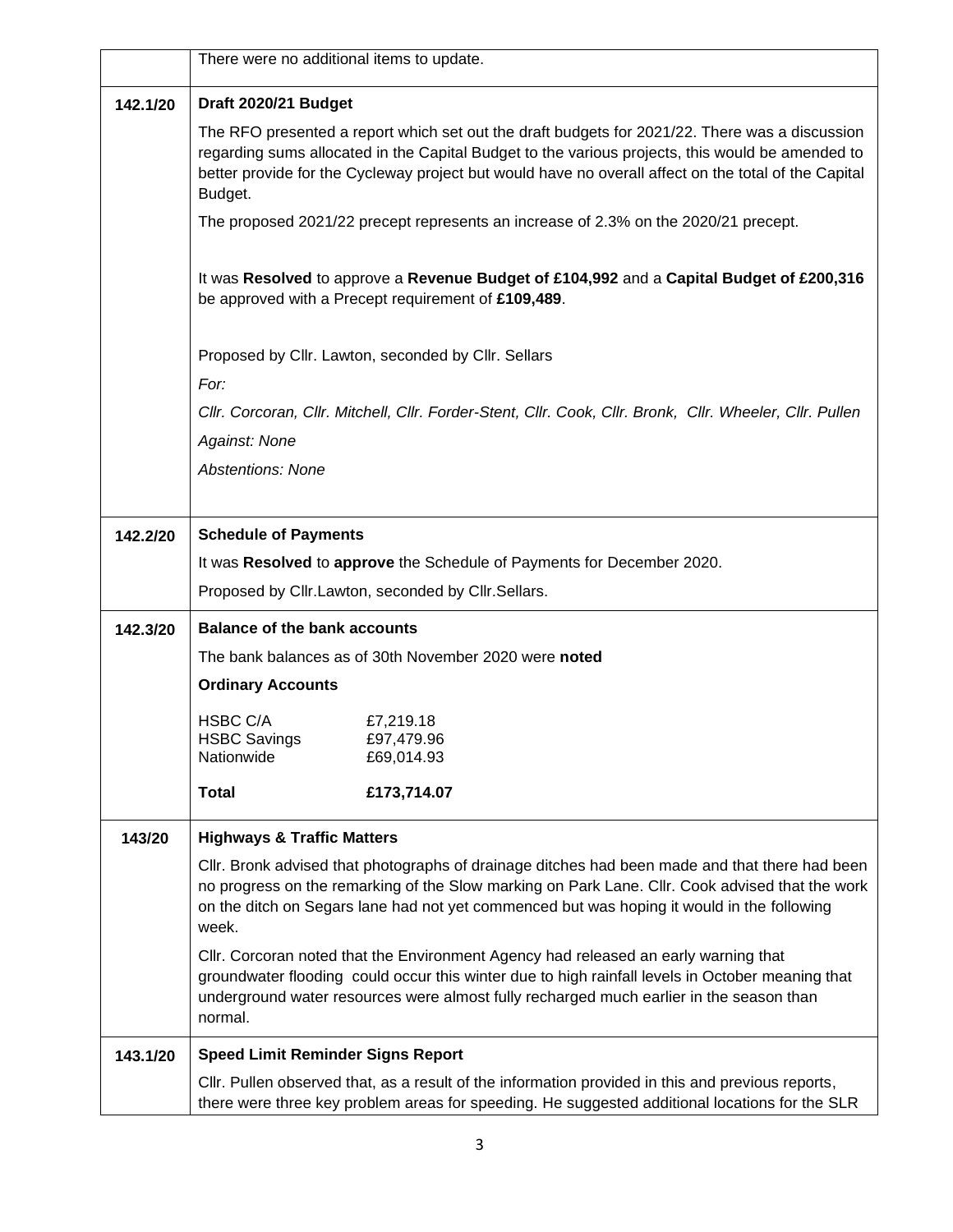|          | There were no additional items to update.                                                                                                                                                                                                                                                                |                                                                                                                                                                                                                                                                                                            |  |
|----------|----------------------------------------------------------------------------------------------------------------------------------------------------------------------------------------------------------------------------------------------------------------------------------------------------------|------------------------------------------------------------------------------------------------------------------------------------------------------------------------------------------------------------------------------------------------------------------------------------------------------------|--|
| 142.1/20 | Draft 2020/21 Budget                                                                                                                                                                                                                                                                                     |                                                                                                                                                                                                                                                                                                            |  |
|          | Budget.                                                                                                                                                                                                                                                                                                  | The RFO presented a report which set out the draft budgets for 2021/22. There was a discussion<br>regarding sums allocated in the Capital Budget to the various projects, this would be amended to<br>better provide for the Cycleway project but would have no overall affect on the total of the Capital |  |
|          |                                                                                                                                                                                                                                                                                                          | The proposed 2021/22 precept represents an increase of 2.3% on the 2020/21 precept.                                                                                                                                                                                                                        |  |
|          |                                                                                                                                                                                                                                                                                                          | It was Resolved to approve a Revenue Budget of £104,992 and a Capital Budget of £200,316<br>be approved with a Precept requirement of £109,489.                                                                                                                                                            |  |
|          |                                                                                                                                                                                                                                                                                                          | Proposed by Cllr. Lawton, seconded by Cllr. Sellars                                                                                                                                                                                                                                                        |  |
|          | For:                                                                                                                                                                                                                                                                                                     |                                                                                                                                                                                                                                                                                                            |  |
|          |                                                                                                                                                                                                                                                                                                          | Cllr. Corcoran, Cllr. Mitchell, Cllr. Forder-Stent, Cllr. Cook, Cllr. Bronk, Cllr. Wheeler, Cllr. Pullen                                                                                                                                                                                                   |  |
|          | Against: None                                                                                                                                                                                                                                                                                            |                                                                                                                                                                                                                                                                                                            |  |
|          | <b>Abstentions: None</b>                                                                                                                                                                                                                                                                                 |                                                                                                                                                                                                                                                                                                            |  |
| 142.2/20 | <b>Schedule of Payments</b>                                                                                                                                                                                                                                                                              |                                                                                                                                                                                                                                                                                                            |  |
|          |                                                                                                                                                                                                                                                                                                          | It was Resolved to approve the Schedule of Payments for December 2020.                                                                                                                                                                                                                                     |  |
|          | Proposed by Cllr.Lawton, seconded by Cllr.Sellars.                                                                                                                                                                                                                                                       |                                                                                                                                                                                                                                                                                                            |  |
| 142.3/20 | <b>Balance of the bank accounts</b>                                                                                                                                                                                                                                                                      |                                                                                                                                                                                                                                                                                                            |  |
|          | The bank balances as of 30th November 2020 were noted                                                                                                                                                                                                                                                    |                                                                                                                                                                                                                                                                                                            |  |
|          | <b>Ordinary Accounts</b>                                                                                                                                                                                                                                                                                 |                                                                                                                                                                                                                                                                                                            |  |
|          | HSBC C/A                                                                                                                                                                                                                                                                                                 | £7,219.18                                                                                                                                                                                                                                                                                                  |  |
|          | <b>HSBC Savings</b>                                                                                                                                                                                                                                                                                      | £97,479.96                                                                                                                                                                                                                                                                                                 |  |
|          | Nationwide                                                                                                                                                                                                                                                                                               | £69,014.93                                                                                                                                                                                                                                                                                                 |  |
|          | <b>Total</b>                                                                                                                                                                                                                                                                                             | £173,714.07                                                                                                                                                                                                                                                                                                |  |
| 143/20   | <b>Highways &amp; Traffic Matters</b>                                                                                                                                                                                                                                                                    |                                                                                                                                                                                                                                                                                                            |  |
|          | CIIr. Bronk advised that photographs of drainage ditches had been made and that there had been<br>no progress on the remarking of the Slow marking on Park Lane. Cllr. Cook advised that the work<br>on the ditch on Segars lane had not yet commenced but was hoping it would in the following<br>week. |                                                                                                                                                                                                                                                                                                            |  |
|          | Cllr. Corcoran noted that the Environment Agency had released an early warning that<br>groundwater flooding could occur this winter due to high rainfall levels in October meaning that<br>underground water resources were almost fully recharged much earlier in the season than<br>normal.            |                                                                                                                                                                                                                                                                                                            |  |
| 143.1/20 | <b>Speed Limit Reminder Signs Report</b>                                                                                                                                                                                                                                                                 |                                                                                                                                                                                                                                                                                                            |  |
|          |                                                                                                                                                                                                                                                                                                          | CIIr. Pullen observed that, as a result of the information provided in this and previous reports,<br>there were three key problem areas for speeding. He suggested additional locations for the SLR                                                                                                        |  |